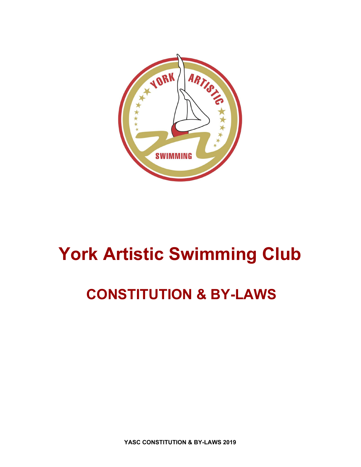

# **York Artistic Swimming Club**

## **CONSTITUTION & BY-LAWS**

**YASC CONSTITUTION & BY-LAWS 2019**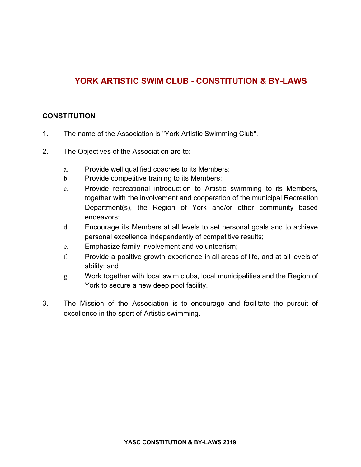### **YORK ARTISTIC SWIM CLUB - CONSTITUTION & BY-LAWS**

#### **CONSTITUTION**

- 1. The name of the Association is "York Artistic Swimming Club".
- 2. The Objectives of the Association are to:
	- a. Provide well qualified coaches to its Members;
	- b. Provide competitive training to its Members;
	- c. Provide recreational introduction to Artistic swimming to its Members, together with the involvement and cooperation of the municipal Recreation Department(s), the Region of York and/or other community based endeavors;
	- d. Encourage its Members at all levels to set personal goals and to achieve personal excellence independently of competitive results;
	- e. Emphasize family involvement and volunteerism;
	- f. Provide a positive growth experience in all areas of life, and at all levels of ability; and
	- g. Work together with local swim clubs, local municipalities and the Region of York to secure a new deep pool facility.
- 3. The Mission of the Association is to encourage and facilitate the pursuit of excellence in the sport of Artistic swimming.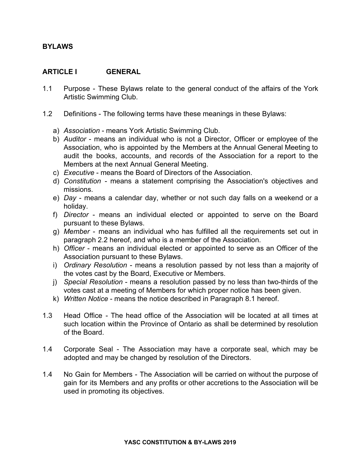#### **BYLAWS**

#### **ARTICLE I GENERAL**

- 1.1 Purpose These Bylaws relate to the general conduct of the affairs of the York Artistic Swimming Club.
- 1.2 Definitions The following terms have these meanings in these Bylaws:
	- a) *Association* means York Artistic Swimming Club.
	- b) *Auditor* means an individual who is not a Director, Officer or employee of the Association, who is appointed by the Members at the Annual General Meeting to audit the books, accounts, and records of the Association for a report to the Members at the next Annual General Meeting.
	- c) *Executive* means the Board of Directors of the Association.
	- d) *Constitution* means a statement comprising the Association's objectives and missions.
	- e) *Day* means a calendar day, whether or not such day falls on a weekend or a holiday.
	- f) *Director* means an individual elected or appointed to serve on the Board pursuant to these Bylaws.
	- g) *Member* means an individual who has fulfilled all the requirements set out in paragraph 2.2 hereof, and who is a member of the Association.
	- h) *Officer* means an individual elected or appointed to serve as an Officer of the Association pursuant to these Bylaws.
	- i) *Ordinary Resolution* means a resolution passed by not less than a majority of the votes cast by the Board, Executive or Members.
	- j) *Special Resolution* means a resolution passed by no less than two-thirds of the votes cast at a meeting of Members for which proper notice has been given.
	- k) *Written Notice* means the notice described in Paragraph 8.1 hereof.
- 1.3 Head Office The head office of the Association will be located at all times at such location within the Province of Ontario as shall be determined by resolution of the Board.
- 1.4 Corporate Seal The Association may have a corporate seal, which may be adopted and may be changed by resolution of the Directors.
- 1.4 No Gain for Members The Association will be carried on without the purpose of gain for its Members and any profits or other accretions to the Association will be used in promoting its objectives.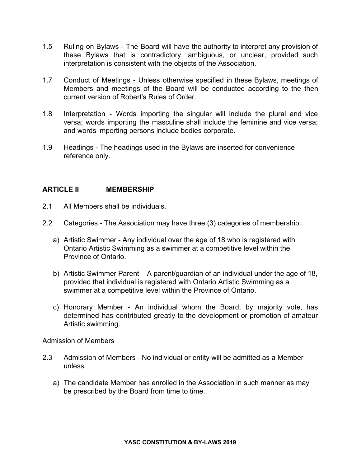- 1.5 Ruling on Bylaws The Board will have the authority to interpret any provision of these Bylaws that is contradictory, ambiguous, or unclear, provided such interpretation is consistent with the objects of the Association.
- 1.7 Conduct of Meetings Unless otherwise specified in these Bylaws, meetings of Members and meetings of the Board will be conducted according to the then current version of Robert's Rules of Order.
- 1.8 Interpretation Words importing the singular will include the plural and vice versa; words importing the masculine shall include the feminine and vice versa; and words importing persons include bodies corporate.
- 1.9 Headings The headings used in the Bylaws are inserted for convenience reference only.

#### **ARTICLE II MEMBERSHIP**

- 2.1 All Members shall be individuals.
- 2.2 Categories The Association may have three (3) categories of membership:
	- a) Artistic Swimmer Any individual over the age of 18 who is registered with Ontario Artistic Swimming as a swimmer at a competitive level within the Province of Ontario.
	- b) Artistic Swimmer Parent A parent/guardian of an individual under the age of 18, provided that individual is registered with Ontario Artistic Swimming as a swimmer at a competitive level within the Province of Ontario.
	- c) Honorary Member An individual whom the Board, by majority vote, has determined has contributed greatly to the development or promotion of amateur Artistic swimming.

Admission of Members

- 2.3 Admission of Members No individual or entity will be admitted as a Member unless:
	- a) The candidate Member has enrolled in the Association in such manner as may be prescribed by the Board from time to time.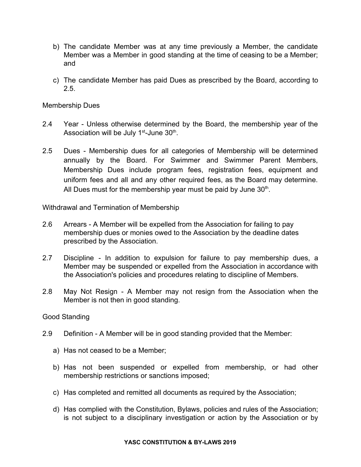- b) The candidate Member was at any time previously a Member, the candidate Member was a Member in good standing at the time of ceasing to be a Member; and
- c) The candidate Member has paid Dues as prescribed by the Board, according to 2.5.

Membership Dues

- 2.4 Year Unless otherwise determined by the Board, the membership year of the Association will be July  $1<sup>st</sup>$ -June  $30<sup>th</sup>$ .
- 2.5 Dues Membership dues for all categories of Membership will be determined annually by the Board. For Swimmer and Swimmer Parent Members, Membership Dues include program fees, registration fees, equipment and uniform fees and all and any other required fees, as the Board may determine. All Dues must for the membership year must be paid by June  $30<sup>th</sup>$ .

Withdrawal and Termination of Membership

- 2.6 Arrears A Member will be expelled from the Association for failing to pay membership dues or monies owed to the Association by the deadline dates prescribed by the Association.
- 2.7 Discipline In addition to expulsion for failure to pay membership dues, a Member may be suspended or expelled from the Association in accordance with the Association's policies and procedures relating to discipline of Members.
- 2.8 May Not Resign A Member may not resign from the Association when the Member is not then in good standing.

#### Good Standing

- 2.9 Definition A Member will be in good standing provided that the Member:
	- a) Has not ceased to be a Member;
	- b) Has not been suspended or expelled from membership, or had other membership restrictions or sanctions imposed;
	- c) Has completed and remitted all documents as required by the Association;
	- d) Has complied with the Constitution, Bylaws, policies and rules of the Association; is not subject to a disciplinary investigation or action by the Association or by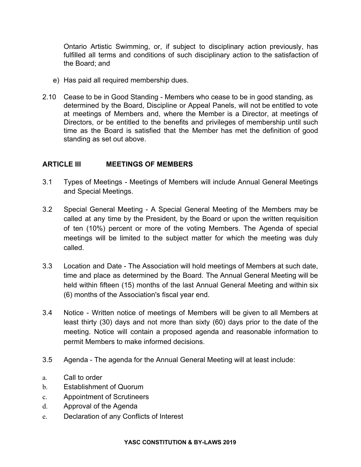Ontario Artistic Swimming, or, if subject to disciplinary action previously, has fulfilled all terms and conditions of such disciplinary action to the satisfaction of the Board; and

- e) Has paid all required membership dues.
- 2.10 Cease to be in Good Standing Members who cease to be in good standing, as determined by the Board, Discipline or Appeal Panels, will not be entitled to vote at meetings of Members and, where the Member is a Director, at meetings of Directors, or be entitled to the benefits and privileges of membership until such time as the Board is satisfied that the Member has met the definition of good standing as set out above.

#### **ARTICLE III MEETINGS OF MEMBERS**

- 3.1 Types of Meetings Meetings of Members will include Annual General Meetings and Special Meetings.
- 3.2 Special General Meeting A Special General Meeting of the Members may be called at any time by the President, by the Board or upon the written requisition of ten (10%) percent or more of the voting Members. The Agenda of special meetings will be limited to the subject matter for which the meeting was duly called.
- 3.3 Location and Date The Association will hold meetings of Members at such date, time and place as determined by the Board. The Annual General Meeting will be held within fifteen (15) months of the last Annual General Meeting and within six (6) months of the Association's fiscal year end.
- 3.4 Notice Written notice of meetings of Members will be given to all Members at least thirty (30) days and not more than sixty (60) days prior to the date of the meeting. Notice will contain a proposed agenda and reasonable information to permit Members to make informed decisions.
- 3.5 Agenda The agenda for the Annual General Meeting will at least include:
- a. Call to order
- b. Establishment of Quorum
- c. Appointment of Scrutineers
- d. Approval of the Agenda
- e. Declaration of any Conflicts of Interest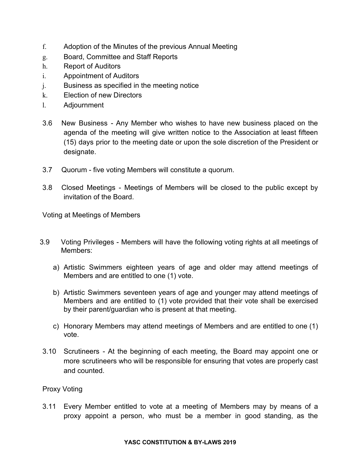- f. Adoption of the Minutes of the previous Annual Meeting
- g. Board, Committee and Staff Reports
- h. Report of Auditors
- i. Appointment of Auditors
- j. Business as specified in the meeting notice
- k. Election of new Directors
- l. Adjournment
- 3.6 New Business Any Member who wishes to have new business placed on the agenda of the meeting will give written notice to the Association at least fifteen (15) days prior to the meeting date or upon the sole discretion of the President or designate.
- 3.7 Quorum five voting Members will constitute a quorum.
- 3.8 Closed Meetings Meetings of Members will be closed to the public except by invitation of the Board.

Voting at Meetings of Members

- 3.9 Voting Privileges Members will have the following voting rights at all meetings of Members:
	- a) Artistic Swimmers eighteen years of age and older may attend meetings of Members and are entitled to one (1) vote.
	- b) Artistic Swimmers seventeen years of age and younger may attend meetings of Members and are entitled to (1) vote provided that their vote shall be exercised by their parent/guardian who is present at that meeting.
	- c) Honorary Members may attend meetings of Members and are entitled to one (1) vote.
- 3.10 Scrutineers At the beginning of each meeting, the Board may appoint one or more scrutineers who will be responsible for ensuring that votes are properly cast and counted.

Proxy Voting

3.11 Every Member entitled to vote at a meeting of Members may by means of a proxy appoint a person, who must be a member in good standing, as the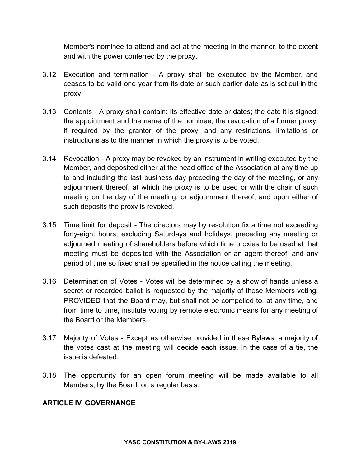Member's nominee to attend and act at the meeting in the manner, to the extent and with the power conferred by the proxy.

- 3.12 Execution and termination A proxy shall be executed by the Member, and ceases to be valid one year from its date or such earlier date as is set out in the proxy.
- 3.13 Contents A proxy shall contain: its effective date or dates; the date it is signed; the appointment and the name of the nominee; the revocation of a former proxy, if required by the grantor of the proxy; and any restrictions, limitations or instructions as to the manner in which the proxy is to be voted.
- 3.14 Revocation A proxy may be revoked by an instrument in writing executed by the Member, and deposited either at the head office of the Association at any time up to and including the last business day preceding the day of the meeting, or any adjournment thereof, at which the proxy is to be used or with the chair of such meeting on the day of the meeting, or adjournment thereof, and upon either of such deposits the proxy is revoked.
- 3.15 Time limit for deposit The directors may by resolution fix a time not exceeding forty-eight hours, excluding Saturdays and holidays, preceding any meeting or adjourned meeting of shareholders before which time proxies to be used at that meeting must be deposited with the Association or an agent thereof, and any period of time so fixed shall be specified in the notice calling the meeting.
- 3.16 Determination of Votes Votes will be determined by a show of hands unless a secret or recorded ballot is requested by the majority of those Members voting; PROVIDED that the Board may, but shall not be compelled to, at any time, and from time to time, institute voting by remote electronic means for any meeting of the Board or the Members.
- 3.17 Majority of Votes Except as otherwise provided in these Bylaws, a majority of the votes cast at the meeting will decide each issue. In the case of a tie, the issue is defeated.
- 3.18 The opportunity for an open forum meeting will be made available to all Members, by the Board, on a regular basis.

#### **ARTICLE IV GOVERNANCE**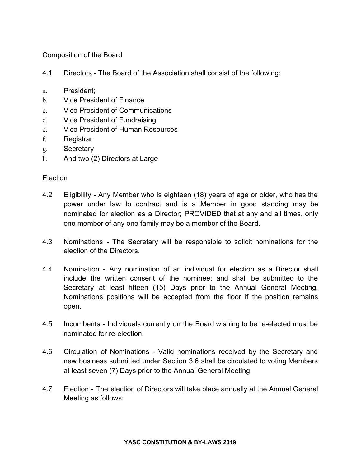Composition of the Board

- 4.1 Directors The Board of the Association shall consist of the following:
- a. President;
- b. Vice President of Finance
- c. Vice President of Communications
- d. Vice President of Fundraising
- e. Vice President of Human Resources
- f. Registrar
- g. Secretary
- h. And two (2) Directors at Large

#### Election

- 4.2 Eligibility Any Member who is eighteen (18) years of age or older, who has the power under law to contract and is a Member in good standing may be nominated for election as a Director; PROVIDED that at any and all times, only one member of any one family may be a member of the Board.
- 4.3 Nominations The Secretary will be responsible to solicit nominations for the election of the Directors.
- 4.4 Nomination Any nomination of an individual for election as a Director shall include the written consent of the nominee; and shall be submitted to the Secretary at least fifteen (15) Days prior to the Annual General Meeting. Nominations positions will be accepted from the floor if the position remains open.
- 4.5 Incumbents Individuals currently on the Board wishing to be re-elected must be nominated for re-election.
- 4.6 Circulation of Nominations Valid nominations received by the Secretary and new business submitted under Section 3.6 shall be circulated to voting Members at least seven (7) Days prior to the Annual General Meeting.
- 4.7 Election The election of Directors will take place annually at the Annual General Meeting as follows: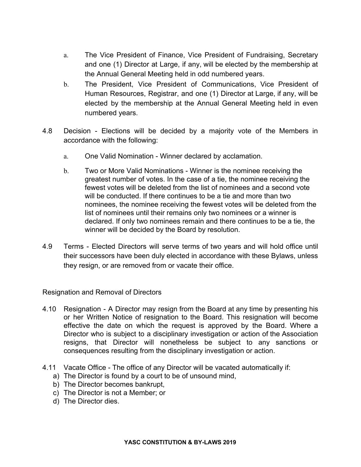- a. The Vice President of Finance, Vice President of Fundraising, Secretary and one (1) Director at Large, if any, will be elected by the membership at the Annual General Meeting held in odd numbered years.
- b. The President, Vice President of Communications, Vice President of Human Resources, Registrar, and one (1) Director at Large, if any, will be elected by the membership at the Annual General Meeting held in even numbered years.
- 4.8 Decision Elections will be decided by a majority vote of the Members in accordance with the following:
	- a. One Valid Nomination Winner declared by acclamation.
	- b. Two or More Valid Nominations Winner is the nominee receiving the greatest number of votes. In the case of a tie, the nominee receiving the fewest votes will be deleted from the list of nominees and a second vote will be conducted. If there continues to be a tie and more than two nominees, the nominee receiving the fewest votes will be deleted from the list of nominees until their remains only two nominees or a winner is declared. If only two nominees remain and there continues to be a tie, the winner will be decided by the Board by resolution.
- 4.9 Terms Elected Directors will serve terms of two years and will hold office until their successors have been duly elected in accordance with these Bylaws, unless they resign, or are removed from or vacate their office.

Resignation and Removal of Directors

- 4.10 Resignation A Director may resign from the Board at any time by presenting his or her Written Notice of resignation to the Board. This resignation will become effective the date on which the request is approved by the Board. Where a Director who is subject to a disciplinary investigation or action of the Association resigns, that Director will nonetheless be subject to any sanctions or consequences resulting from the disciplinary investigation or action.
- 4.11 Vacate Office The office of any Director will be vacated automatically if:
	- a) The Director is found by a court to be of unsound mind,
	- b) The Director becomes bankrupt,
	- c) The Director is not a Member; or
	- d) The Director dies.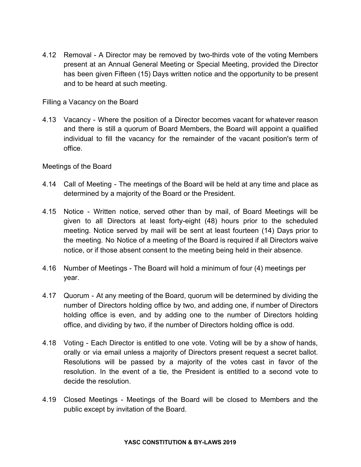4.12 Removal - A Director may be removed by two-thirds vote of the voting Members present at an Annual General Meeting or Special Meeting, provided the Director has been given Fifteen (15) Days written notice and the opportunity to be present and to be heard at such meeting.

Filling a Vacancy on the Board

4.13 Vacancy - Where the position of a Director becomes vacant for whatever reason and there is still a quorum of Board Members, the Board will appoint a qualified individual to fill the vacancy for the remainder of the vacant position's term of office.

Meetings of the Board

- 4.14 Call of Meeting The meetings of the Board will be held at any time and place as determined by a majority of the Board or the President.
- 4.15 Notice Written notice, served other than by mail, of Board Meetings will be given to all Directors at least forty-eight (48) hours prior to the scheduled meeting. Notice served by mail will be sent at least fourteen (14) Days prior to the meeting. No Notice of a meeting of the Board is required if all Directors waive notice, or if those absent consent to the meeting being held in their absence.
- 4.16 Number of Meetings The Board will hold a minimum of four (4) meetings per year.
- 4.17 Quorum At any meeting of the Board, quorum will be determined by dividing the number of Directors holding office by two, and adding one, if number of Directors holding office is even, and by adding one to the number of Directors holding office, and dividing by two, if the number of Directors holding office is odd.
- 4.18 Voting Each Director is entitled to one vote. Voting will be by a show of hands, orally or via email unless a majority of Directors present request a secret ballot. Resolutions will be passed by a majority of the votes cast in favor of the resolution. In the event of a tie, the President is entitled to a second vote to decide the resolution.
- 4.19 Closed Meetings Meetings of the Board will be closed to Members and the public except by invitation of the Board.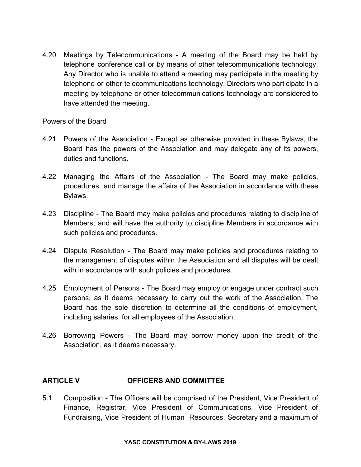4.20 Meetings by Telecommunications - A meeting of the Board may be held by telephone conference call or by means of other telecommunications technology. Any Director who is unable to attend a meeting may participate in the meeting by telephone or other telecommunications technology. Directors who participate in a meeting by telephone or other telecommunications technology are considered to have attended the meeting.

#### Powers of the Board

- 4.21 Powers of the Association Except as otherwise provided in these Bylaws, the Board has the powers of the Association and may delegate any of its powers, duties and functions.
- 4.22 Managing the Affairs of the Association The Board may make policies, procedures, and manage the affairs of the Association in accordance with these Bylaws.
- 4.23 Discipline The Board may make policies and procedures relating to discipline of Members, and will have the authority to discipline Members in accordance with such policies and procedures.
- 4.24 Dispute Resolution The Board may make policies and procedures relating to the management of disputes within the Association and all disputes will be dealt with in accordance with such policies and procedures.
- 4.25 Employment of Persons The Board may employ or engage under contract such persons, as it deems necessary to carry out the work of the Association. The Board has the sole discretion to determine all the conditions of employment, including salaries, for all employees of the Association.
- 4.26 Borrowing Powers The Board may borrow money upon the credit of the Association, as it deems necessary.

#### **ARTICLE V OFFICERS AND COMMITTEE**

5.1 Composition - The Officers will be comprised of the President, Vice President of Finance, Registrar, Vice President of Communications, Vice President of Fundraising, Vice President of Human Resources, Secretary and a maximum of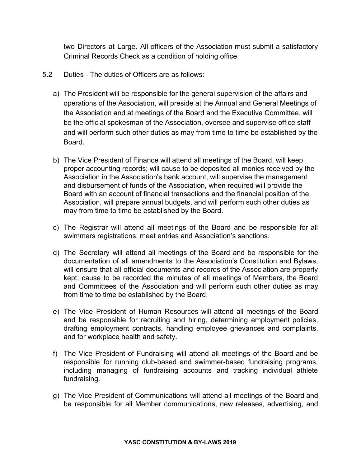two Directors at Large. All officers of the Association must submit a satisfactory Criminal Records Check as a condition of holding office.

- 5.2 Duties The duties of Officers are as follows:
	- a) The President will be responsible for the general supervision of the affairs and operations of the Association, will preside at the Annual and General Meetings of the Association and at meetings of the Board and the Executive Committee, will be the official spokesman of the Association, oversee and supervise office staff and will perform such other duties as may from time to time be established by the Board.
	- b) The Vice President of Finance will attend all meetings of the Board, will keep proper accounting records; will cause to be deposited all monies received by the Association in the Association's bank account, will supervise the management and disbursement of funds of the Association, when required will provide the Board with an account of financial transactions and the financial position of the Association, will prepare annual budgets, and will perform such other duties as may from time to time be established by the Board.
	- c) The Registrar will attend all meetings of the Board and be responsible for all swimmers registrations, meet entries and Association's sanctions.
	- d) The Secretary will attend all meetings of the Board and be responsible for the documentation of all amendments to the Association's Constitution and Bylaws, will ensure that all official documents and records of the Association are properly kept, cause to be recorded the minutes of all meetings of Members, the Board and Committees of the Association and will perform such other duties as may from time to time be established by the Board.
	- e) The Vice President of Human Resources will attend all meetings of the Board and be responsible for recruiting and hiring, determining employment policies, drafting employment contracts, handling employee grievances and complaints, and for workplace health and safety.
	- f) The Vice President of Fundraising will attend all meetings of the Board and be responsible for running club-based and swimmer-based fundraising programs, including managing of fundraising accounts and tracking individual athlete fundraising.
	- g) The Vice President of Communications will attend all meetings of the Board and be responsible for all Member communications, new releases, advertising, and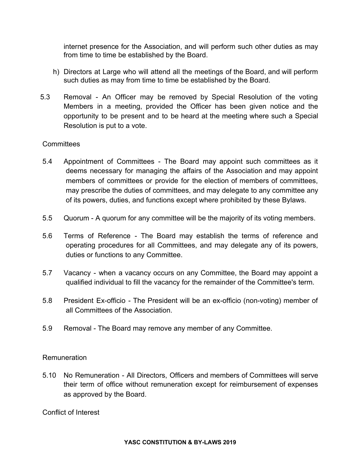internet presence for the Association, and will perform such other duties as may from time to time be established by the Board.

- h) Directors at Large who will attend all the meetings of the Board, and will perform such duties as may from time to time be established by the Board.
- 5.3 Removal An Officer may be removed by Special Resolution of the voting Members in a meeting, provided the Officer has been given notice and the opportunity to be present and to be heard at the meeting where such a Special Resolution is put to a vote.

#### **Committees**

- 5.4 Appointment of Committees The Board may appoint such committees as it deems necessary for managing the affairs of the Association and may appoint members of committees or provide for the election of members of committees, may prescribe the duties of committees, and may delegate to any committee any of its powers, duties, and functions except where prohibited by these Bylaws.
- 5.5 Quorum A quorum for any committee will be the majority of its voting members.
- 5.6 Terms of Reference The Board may establish the terms of reference and operating procedures for all Committees, and may delegate any of its powers, duties or functions to any Committee.
- 5.7 Vacancy when a vacancy occurs on any Committee, the Board may appoint a qualified individual to fill the vacancy for the remainder of the Committee's term.
- 5.8 President Ex-officio The President will be an ex-officio (non-voting) member of all Committees of the Association.
- 5.9 Removal The Board may remove any member of any Committee.

#### Remuneration

5.10 No Remuneration - All Directors, Officers and members of Committees will serve their term of office without remuneration except for reimbursement of expenses as approved by the Board.

Conflict of Interest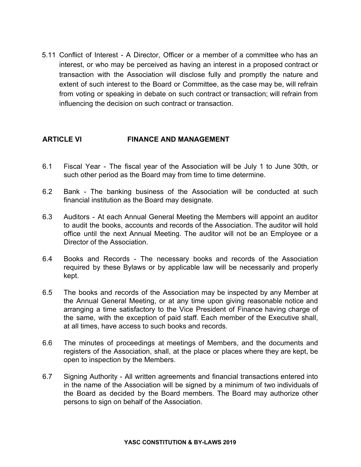5.11 Conflict of Interest - A Director, Officer or a member of a committee who has an interest, or who may be perceived as having an interest in a proposed contract or transaction with the Association will disclose fully and promptly the nature and extent of such interest to the Board or Committee, as the case may be, will refrain from voting or speaking in debate on such contract or transaction; will refrain from influencing the decision on such contract or transaction.

#### **ARTICLE VI FINANCE AND MANAGEMENT**

- 6.1 Fiscal Year The fiscal year of the Association will be July 1 to June 30th, or such other period as the Board may from time to time determine.
- 6.2 Bank The banking business of the Association will be conducted at such financial institution as the Board may designate.
- 6.3 Auditors At each Annual General Meeting the Members will appoint an auditor to audit the books, accounts and records of the Association. The auditor will hold office until the next Annual Meeting. The auditor will not be an Employee or a Director of the Association.
- 6.4 Books and Records The necessary books and records of the Association required by these Bylaws or by applicable law will be necessarily and properly kept.
- 6.5 The books and records of the Association may be inspected by any Member at the Annual General Meeting, or at any time upon giving reasonable notice and arranging a time satisfactory to the Vice President of Finance having charge of the same, with the exception of paid staff. Each member of the Executive shall, at all times, have access to such books and records.
- 6.6 The minutes of proceedings at meetings of Members, and the documents and registers of the Association, shall, at the place or places where they are kept, be open to inspection by the Members.
- 6.7 Signing Authority All written agreements and financial transactions entered into in the name of the Association will be signed by a minimum of two individuals of the Board as decided by the Board members. The Board may authorize other persons to sign on behalf of the Association.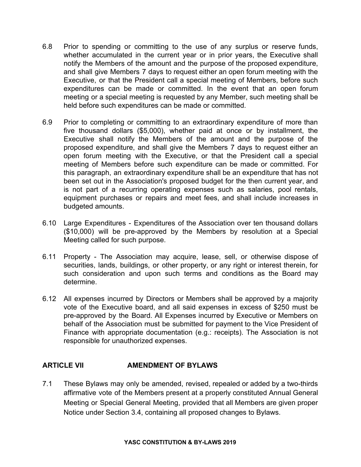- 6.8 Prior to spending or committing to the use of any surplus or reserve funds, whether accumulated in the current year or in prior years, the Executive shall notify the Members of the amount and the purpose of the proposed expenditure, and shall give Members 7 days to request either an open forum meeting with the Executive, or that the President call a special meeting of Members, before such expenditures can be made or committed. In the event that an open forum meeting or a special meeting is requested by any Member, such meeting shall be held before such expenditures can be made or committed.
- 6.9 Prior to completing or committing to an extraordinary expenditure of more than five thousand dollars (\$5,000), whether paid at once or by installment, the Executive shall notify the Members of the amount and the purpose of the proposed expenditure, and shall give the Members 7 days to request either an open forum meeting with the Executive, or that the President call a special meeting of Members before such expenditure can be made or committed. For this paragraph, an extraordinary expenditure shall be an expenditure that has not been set out in the Association's proposed budget for the then current year, and is not part of a recurring operating expenses such as salaries, pool rentals, equipment purchases or repairs and meet fees, and shall include increases in budgeted amounts.
- 6.10 Large Expenditures Expenditures of the Association over ten thousand dollars (\$10,000) will be pre-approved by the Members by resolution at a Special Meeting called for such purpose.
- 6.11 Property The Association may acquire, lease, sell, or otherwise dispose of securities, lands, buildings, or other property, or any right or interest therein, for such consideration and upon such terms and conditions as the Board may determine.
- 6.12 All expenses incurred by Directors or Members shall be approved by a majority vote of the Executive board, and all said expenses in excess of \$250 must be pre-approved by the Board. All Expenses incurred by Executive or Members on behalf of the Association must be submitted for payment to the Vice President of Finance with appropriate documentation (e.g.: receipts). The Association is not responsible for unauthorized expenses.

#### **ARTICLE VII AMENDMENT OF BYLAWS**

7.1 These Bylaws may only be amended, revised, repealed or added by a two-thirds affirmative vote of the Members present at a properly constituted Annual General Meeting or Special General Meeting, provided that all Members are given proper Notice under Section 3.4, containing all proposed changes to Bylaws.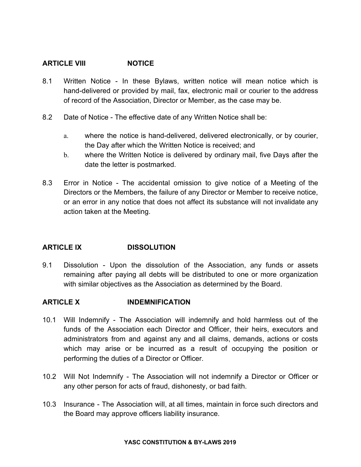#### **ARTICLE VIII NOTICE**

- 8.1 Written Notice In these Bylaws, written notice will mean notice which is hand-delivered or provided by mail, fax, electronic mail or courier to the address of record of the Association, Director or Member, as the case may be.
- 8.2 Date of Notice The effective date of any Written Notice shall be:
	- a. where the notice is hand-delivered, delivered electronically, or by courier, the Day after which the Written Notice is received; and
	- b. where the Written Notice is delivered by ordinary mail, five Days after the date the letter is postmarked.
- 8.3 Error in Notice The accidental omission to give notice of a Meeting of the Directors or the Members, the failure of any Director or Member to receive notice, or an error in any notice that does not affect its substance will not invalidate any action taken at the Meeting.

#### **ARTICLE IX DISSOLUTION**

9.1 Dissolution - Upon the dissolution of the Association, any funds or assets remaining after paying all debts will be distributed to one or more organization with similar objectives as the Association as determined by the Board.

#### **ARTICLE X INDEMNIFICATION**

- 10.1 Will Indemnify The Association will indemnify and hold harmless out of the funds of the Association each Director and Officer, their heirs, executors and administrators from and against any and all claims, demands, actions or costs which may arise or be incurred as a result of occupying the position or performing the duties of a Director or Officer.
- 10.2 Will Not Indemnify The Association will not indemnify a Director or Officer or any other person for acts of fraud, dishonesty, or bad faith.
- 10.3 Insurance The Association will, at all times, maintain in force such directors and the Board may approve officers liability insurance.